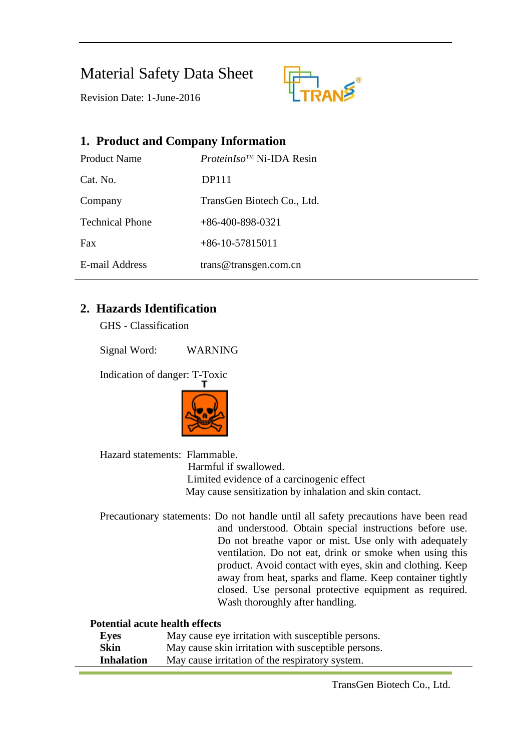## Material Safety Data Sheet



Revision Date: 1-June-2016

# **1. Product and Company Information** Product Name *ProteinIso*TM Ni-IDA Resin Cat. No. DP111 Company TransGen Biotech Co., Ltd. Technical Phone +86-400-898-0321 Fax  $+86-10-57815011$ E-mail Address trans@transgen.com.cn

## **2. Hazards Identification**

GHS - Classification

Signal Word: WARNING

Indication of danger: T-Toxic



Hazard statements: Flammable. Harmful if swallowed. Limited evidence of a carcinogenic effect May cause sensitization by inhalation and skin contact.

Precautionary statements: Do not handle until all safety precautions have been read and understood. Obtain special instructions before use. Do not breathe vapor or mist. Use only with adequately ventilation. Do not eat, drink or smoke when using this product. Avoid contact with eyes, skin and clothing. Keep away from heat, sparks and flame. Keep container tightly closed. Use personal protective equipment as required. Wash thoroughly after handling.

#### **Potential acute health effects**

| Eyes              | May cause eye irritation with susceptible persons.  |
|-------------------|-----------------------------------------------------|
| <b>Skin</b>       | May cause skin irritation with susceptible persons. |
| <b>Inhalation</b> | May cause irritation of the respiratory system.     |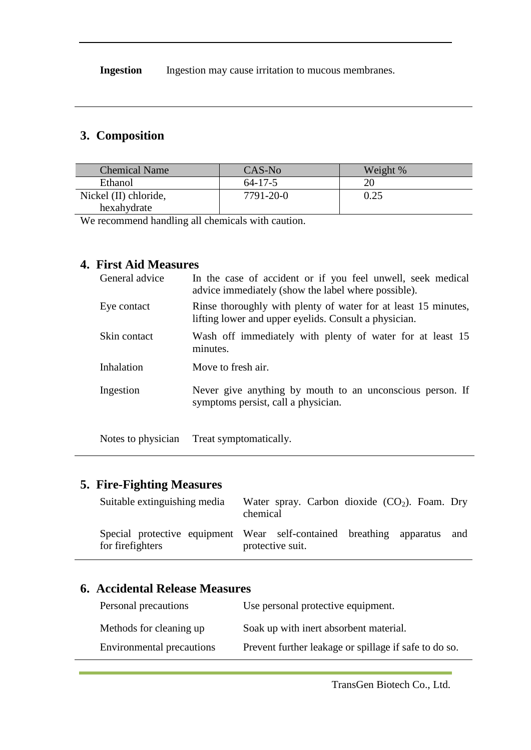**Ingestion** Ingestion may cause irritation to mucous membranes.

## **3. Composition**

| <b>Chemical Name</b>  | CAS-No        | Weight % |
|-----------------------|---------------|----------|
| Ethanol               | $64 - 17 - 5$ |          |
| Nickel (II) chloride, | 7791-20-0     | 0.25     |
| hexahydrate           |               |          |

We recommend handling all chemicals with caution.

### **4. First Aid Measures**

| General advice | In the case of accident or if you feel unwell, seek medical<br>advice immediately (show the label where possible).      |
|----------------|-------------------------------------------------------------------------------------------------------------------------|
| Eye contact    | Rinse thoroughly with plenty of water for at least 15 minutes,<br>lifting lower and upper eyelids. Consult a physician. |
| Skin contact   | Wash off immediately with plenty of water for at least 15<br>minutes.                                                   |
| Inhalation     | Move to fresh air.                                                                                                      |
| Ingestion      | Never give anything by mouth to an unconscious person. If<br>symptoms persist, call a physician.                        |

Notes to physician Treat symptomatically.

## **5. Fire-Fighting Measures**

| Suitable extinguishing media | Water spray. Carbon dioxide $(CO_2)$ . Foam. Dry<br>chemical                                    |  |
|------------------------------|-------------------------------------------------------------------------------------------------|--|
| for firefighters             | Special protective equipment Wear self-contained breathing apparatus<br>and<br>protective suit. |  |

#### **6. Accidental Release Measures**

| Personal precautions      | Use personal protective equipment.                    |
|---------------------------|-------------------------------------------------------|
| Methods for cleaning up   | Soak up with inert absorbent material.                |
| Environmental precautions | Prevent further leakage or spillage if safe to do so. |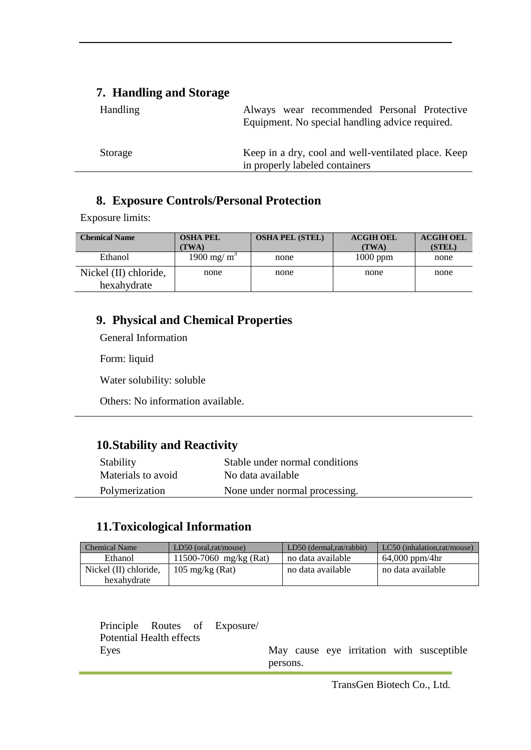#### **7. Handling and Storage**

| <b>Handling</b> | Always wear recommended Personal Protective                                           |
|-----------------|---------------------------------------------------------------------------------------|
|                 | Equipment. No special handling advice required.                                       |
|                 |                                                                                       |
| Storage         | Keep in a dry, cool and well-ventilated place. Keep<br>in properly labeled containers |

#### **8. Exposure Controls/Personal Protection**

Exposure limits:

| <b>Chemical Name</b>                 | <b>OSHA PEL</b><br>TWA) | <b>OSHA PEL (STEL)</b> | <b>ACGIH OEL</b><br>(TWA) | <b>ACGIH OEL</b><br>(STEL) |
|--------------------------------------|-------------------------|------------------------|---------------------------|----------------------------|
| Ethanol                              | 1900 mg/ $m^3$          | none                   | $1000$ ppm                | none                       |
| Nickel (II) chloride,<br>hexahydrate | none                    | none                   | none                      | none                       |

## **9. Physical and Chemical Properties**

General Information

Form: liquid

Water solubility: soluble

Others: No information available.

## **10.Stability and Reactivity**

| Stability          | Stable under normal conditions |
|--------------------|--------------------------------|
| Materials to avoid | No data available              |
| Polymerization     | None under normal processing.  |

## **11.Toxicological Information**

| <b>Chemical Name</b>  | $LD50$ (oral, rat/mouse)  | $LD50$ (dermal.rat/rabbit) | $LC50$ (inhalation, rat/mouse) |
|-----------------------|---------------------------|----------------------------|--------------------------------|
| Ethanol               | 11500-7060 mg/kg (Rat)    | no data available          | $64,000$ ppm/4hr               |
| Nickel (II) chloride. | $105 \text{ mg/kg}$ (Rat) | no data available          | no data available              |
| hexahydrate           |                           |                            |                                |

|                          |  |                              | persons. |  |  |                                           |
|--------------------------|--|------------------------------|----------|--|--|-------------------------------------------|
| Eves                     |  |                              |          |  |  | May cause eye irritation with susceptible |
| Potential Health effects |  |                              |          |  |  |                                           |
|                          |  | Principle Routes of Exposure |          |  |  |                                           |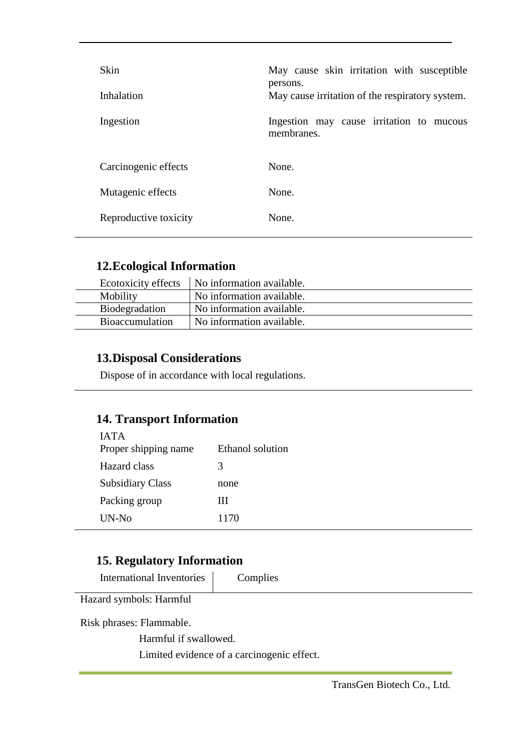| Skin<br>Inhalation    | May cause skin irritation with susceptible<br>persons.<br>May cause irritation of the respiratory system. |
|-----------------------|-----------------------------------------------------------------------------------------------------------|
| Ingestion             | Ingestion may cause irritation to mucous<br>membranes.                                                    |
| Carcinogenic effects  | None.                                                                                                     |
| Mutagenic effects     | None.                                                                                                     |
| Reproductive toxicity | None.                                                                                                     |

#### **12.Ecological Information**

|                        | Ecotoxicity effects   No information available. |
|------------------------|-------------------------------------------------|
| Mobility               | No information available.                       |
| Biodegradation         | No information available.                       |
| <b>Bioaccumulation</b> | No information available.                       |

## **13.Disposal Considerations**

Dispose of in accordance with local regulations.

## **14. Transport Information**

| <b>IATA</b><br>Proper shipping name | Ethanol solution |
|-------------------------------------|------------------|
| Hazard class                        | 3                |
| <b>Subsidiary Class</b>             | none             |
| Packing group                       | Ш                |
| $UN-N0$                             | 1170             |

### **15. Regulatory Information**

International Inventories | Complies

Hazard symbols: Harmful

Risk phrases: Flammable.

Harmful if swallowed.

Limited evidence of a carcinogenic effect.